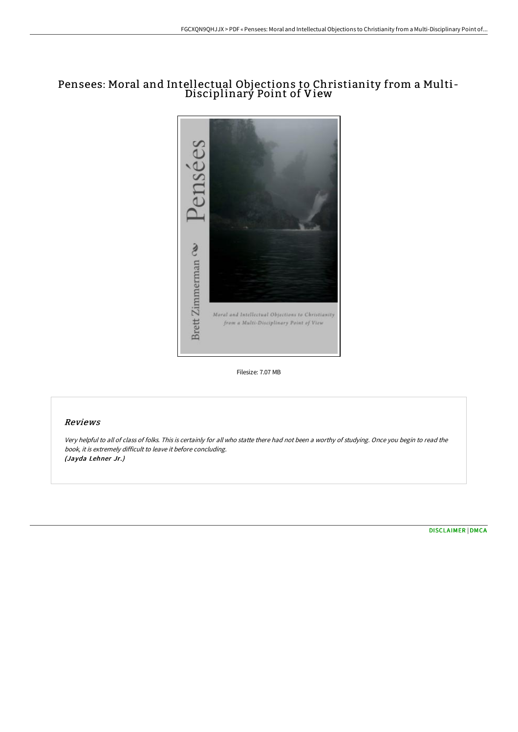# Pensees: Moral and Intellectual Objections to Christianity from a Multi-Disciplinary Point of View



Filesize: 7.07 MB

## Reviews

Very helpful to all of class of folks. This is certainly for all who statte there had not been <sup>a</sup> worthy of studying. Once you begin to read the book, it is extremely difficult to leave it before concluding. (Jayda Lehner Jr.)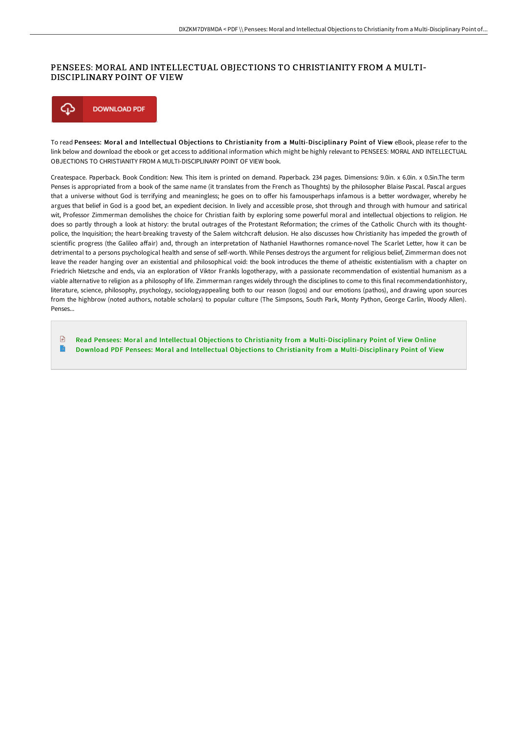### PENSEES: MORAL AND INTELLECTUAL OBJECTIONS TO CHRISTIANITY FROM A MULTI-DISCIPLINARY POINT OF VIEW



To read Pensees: Moral and Intellectual Objections to Christianity from a Multi-Disciplinary Point of View eBook, please refer to the link below and download the ebook or get access to additional information which might be highly relevant to PENSEES: MORAL AND INTELLECTUAL OBJECTIONS TO CHRISTIANITY FROM A MULTI-DISCIPLINARY POINT OF VIEW book.

Createspace. Paperback. Book Condition: New. This item is printed on demand. Paperback. 234 pages. Dimensions: 9.0in. x 6.0in. x 0.5in.The term Penses is appropriated from a book of the same name (it translates from the French as Thoughts) by the philosopher Blaise Pascal. Pascal argues that a universe without God is terrifying and meaningless; he goes on to offer his famousperhaps infamous is a better wordwager, whereby he argues that belief in God is a good bet, an expedient decision. In lively and accessible prose, shot through and through with humour and satirical wit, Professor Zimmerman demolishes the choice for Christian faith by exploring some powerful moral and intellectual objections to religion. He does so partly through a look at history: the brutal outrages of the Protestant Reformation; the crimes of the Catholic Church with its thoughtpolice, the Inquisition; the heart-breaking travesty of the Salem witchcraft delusion. He also discusses how Christianity has impeded the growth of scientific progress (the Galileo affair) and, through an interpretation of Nathaniel Hawthornes romance-novel The Scarlet Letter, how it can be detrimental to a persons psychological health and sense of self-worth. While Penses destroys the argument for religious belief, Zimmerman does not leave the reader hanging over an existential and philosophical void: the book introduces the theme of atheistic existentialism with a chapter on Friedrich Nietzsche and ends, via an exploration of Viktor Frankls logotherapy, with a passionate recommendation of existential humanism as a viable alternative to religion as a philosophy of life. Zimmerman ranges widely through the disciplines to come to this final recommendationhistory, literature, science, philosophy, psychology, sociologyappealing both to our reason (logos) and our emotions (pathos), and drawing upon sources from the highbrow (noted authors, notable scholars) to popular culture (The Simpsons, South Park, Monty Python, George Carlin, Woody Allen). Penses...

 $\mathbb{R}$ Read Pensees: Moral and Intellectual Objections to Christianity from a [Multi-Disciplinar](http://www.bookdirs.com/pensees-moral-and-intellectual-objections-to-chr.html)y Point of View Online  $\rightarrow$ Download PDF Pensees: Moral and Intellectual Objections to Christianity from a [Multi-Disciplinar](http://www.bookdirs.com/pensees-moral-and-intellectual-objections-to-chr.html)y Point of View